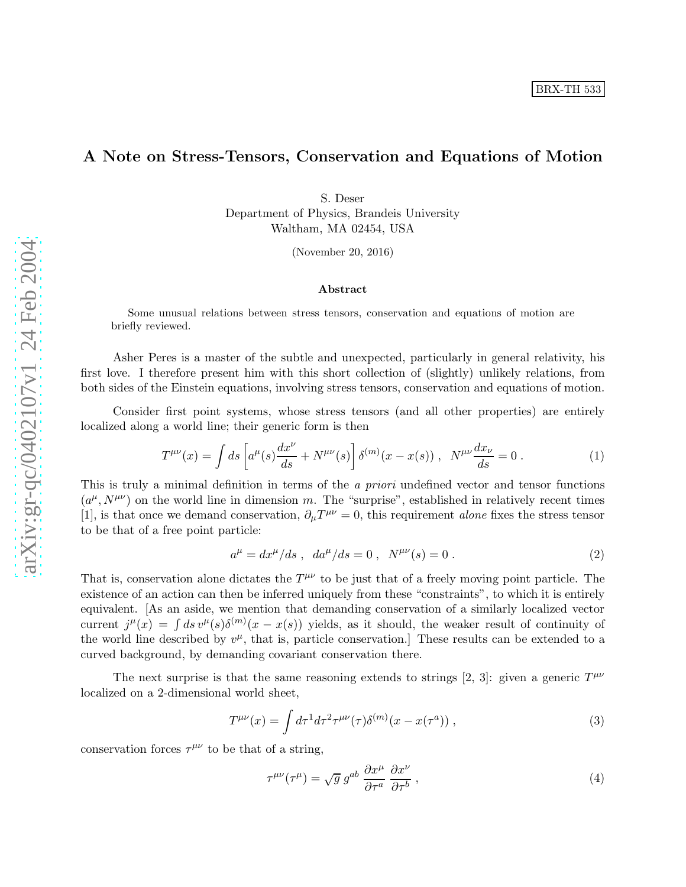## A Note on Stress-Tensors, Conservation and Equations of Motion

S. Deser Department of Physics, Brandeis University Waltham, MA 02454, USA

(November 20, 2016)

## Abstract

Some unusual relations between stress tensors, conservation and equations of motion are briefly reviewed.

Asher Peres is a master of the subtle and unexpected, particularly in general relativity, his first love. I therefore present him with this short collection of (slightly) unlikely relations, from both sides of the Einstein equations, involving stress tensors, conservation and equations of motion.

Consider first point systems, whose stress tensors (and all other properties) are entirely localized along a world line; their generic form is then

$$
T^{\mu\nu}(x) = \int ds \left[ a^{\mu}(s) \frac{dx^{\nu}}{ds} + N^{\mu\nu}(s) \right] \delta^{(m)}(x - x(s)), \quad N^{\mu\nu} \frac{dx_{\nu}}{ds} = 0.
$$
 (1)

This is truly a minimal definition in terms of the *a priori* undefined vector and tensor functions  $(a^{\mu}, N^{\mu\nu})$  on the world line in dimension m. The "surprise", established in relatively recent times [1], is that once we demand conservation,  $\partial_{\mu}T^{\mu\nu} = 0$ , this requirement *alone* fixes the stress tensor to be that of a free point particle:

$$
a^{\mu} = dx^{\mu}/ds \ , \ da^{\mu}/ds = 0 \ , \ N^{\mu\nu}(s) = 0 \ . \tag{2}
$$

That is, conservation alone dictates the  $T^{\mu\nu}$  to be just that of a freely moving point particle. The existence of an action can then be inferred uniquely from these "constraints", to which it is entirely equivalent. [As an aside, we mention that demanding conservation of a similarly localized vector current  $j^{\mu}(x) = \int ds v^{\mu}(s) \delta^{(m)}(x - x(s))$  yields, as it should, the weaker result of continuity of the world line described by  $v^{\mu}$ , that is, particle conservation.] These results can be extended to a curved background, by demanding covariant conservation there.

The next surprise is that the same reasoning extends to strings [2, 3]: given a generic  $T^{\mu\nu}$ localized on a 2-dimensional world sheet,

$$
T^{\mu\nu}(x) = \int d\tau^1 d\tau^2 \tau^{\mu\nu}(\tau) \delta^{(m)}(x - x(\tau^a)), \qquad (3)
$$

conservation forces  $\tau^{\mu\nu}$  to be that of a string,

$$
\tau^{\mu\nu}(\tau^{\mu}) = \sqrt{g} g^{ab} \frac{\partial x^{\mu}}{\partial \tau^{a}} \frac{\partial x^{\nu}}{\partial \tau^{b}}, \qquad (4)
$$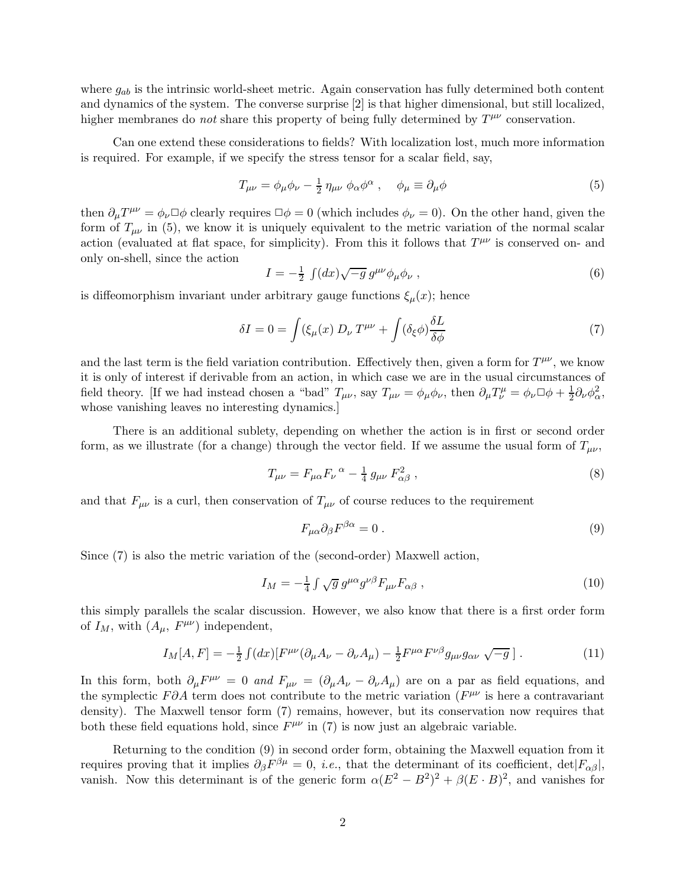where  $g_{ab}$  is the intrinsic world-sheet metric. Again conservation has fully determined both content and dynamics of the system. The converse surprise [2] is that higher dimensional, but still localized, higher membranes do *not* share this property of being fully determined by  $T^{\mu\nu}$  conservation.

Can one extend these considerations to fields? With localization lost, much more information is required. For example, if we specify the stress tensor for a scalar field, say,

$$
T_{\mu\nu} = \phi_{\mu}\phi_{\nu} - \frac{1}{2}\eta_{\mu\nu}\phi_{\alpha}\phi^{\alpha} , \quad \phi_{\mu} \equiv \partial_{\mu}\phi
$$
 (5)

then  $\partial_{\mu}T^{\mu\nu} = \phi_{\nu}\Box\phi$  clearly requires  $\Box\phi = 0$  (which includes  $\phi_{\nu} = 0$ ). On the other hand, given the form of  $T_{\mu\nu}$  in (5), we know it is uniquely equivalent to the metric variation of the normal scalar action (evaluated at flat space, for simplicity). From this it follows that  $T^{\mu\nu}$  is conserved on- and only on-shell, since the action

$$
I = -\frac{1}{2} \int (dx) \sqrt{-g} \, g^{\mu\nu} \phi_\mu \phi_\nu \;, \tag{6}
$$

is diffeomorphism invariant under arbitrary gauge functions  $\xi_{\mu}(x)$ ; hence

$$
\delta I = 0 = \int (\xi_{\mu}(x) D_{\nu} T^{\mu\nu} + \int (\delta_{\xi} \phi) \frac{\delta L}{\delta \phi} \tag{7}
$$

and the last term is the field variation contribution. Effectively then, given a form for  $T^{\mu\nu}$ , we know it is only of interest if derivable from an action, in which case we are in the usual circumstances of field theory. [If we had instead chosen a "bad"  $T_{\mu\nu}$ , say  $T_{\mu\nu} = \phi_{\mu}\phi_{\nu}$ , then  $\partial_{\mu}T^{\mu}_{\nu} = \phi_{\nu}\Box\phi + \frac{1}{2}\partial_{\nu}\phi_{\alpha}^2$ , whose vanishing leaves no interesting dynamics.]

There is an additional sublety, depending on whether the action is in first or second order form, as we illustrate (for a change) through the vector field. If we assume the usual form of  $T_{\mu\nu}$ ,

$$
T_{\mu\nu} = F_{\mu\alpha} F_{\nu}^{\ \alpha} - \frac{1}{4} g_{\mu\nu} F_{\alpha\beta}^2 \ , \tag{8}
$$

and that  $F_{\mu\nu}$  is a curl, then conservation of  $T_{\mu\nu}$  of course reduces to the requirement

$$
F_{\mu\alpha}\partial_{\beta}F^{\beta\alpha} = 0.
$$
 (9)

Since (7) is also the metric variation of the (second-order) Maxwell action,

$$
I_M = -\frac{1}{4} \int \sqrt{g} \, g^{\mu \alpha} g^{\nu \beta} F_{\mu \nu} F_{\alpha \beta} \,, \tag{10}
$$

this simply parallels the scalar discussion. However, we also know that there is a first order form of  $I_M$ , with  $(A_\mu, F^{\mu\nu})$  independent,

$$
I_M[A,F] = -\frac{1}{2} \int (dx) \left[ F^{\mu\nu} (\partial_\mu A_\nu - \partial_\nu A_\mu) - \frac{1}{2} F^{\mu\alpha} F^{\nu\beta} g_{\mu\nu} g_{\alpha\nu} \sqrt{-g} \right]. \tag{11}
$$

In this form, both  $\partial_\mu F^{\mu\nu} = 0$  and  $F_{\mu\nu} = (\partial_\mu A_\nu - \partial_\nu A_\mu)$  are on a par as field equations, and the symplectic  $F\partial A$  term does not contribute to the metric variation  $(F^{\mu\nu})$  is here a contravariant density). The Maxwell tensor form (7) remains, however, but its conservation now requires that both these field equations hold, since  $F^{\mu\nu}$  in (7) is now just an algebraic variable.

Returning to the condition (9) in second order form, obtaining the Maxwell equation from it requires proving that it implies  $\partial_{\beta} F^{\beta \mu} = 0$ , *i.e.*, that the determinant of its coefficient, det $|F_{\alpha\beta}|$ , vanish. Now this determinant is of the generic form  $\alpha (E^2 - B^2)^2 + \beta (E \cdot B)^2$ , and vanishes for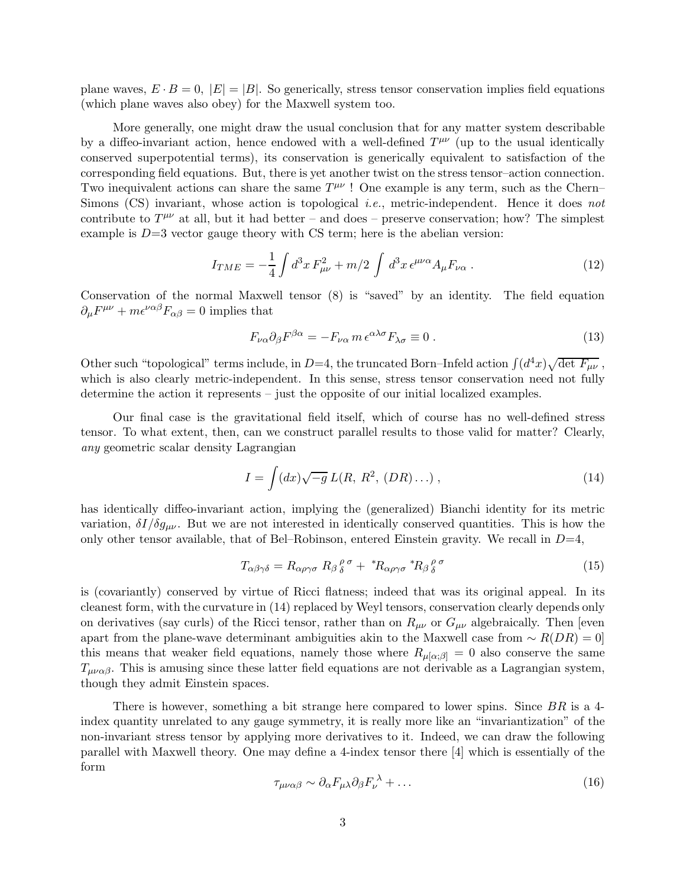plane waves,  $E \cdot B = 0$ ,  $|E| = |B|$ . So generically, stress tensor conservation implies field equations (which plane waves also obey) for the Maxwell system too.

More generally, one might draw the usual conclusion that for any matter system describable by a diffeo-invariant action, hence endowed with a well-defined  $T^{\mu\nu}$  (up to the usual identically conserved superpotential terms), its conservation is generically equivalent to satisfaction of the corresponding field equations. But, there is yet another twist on the stress tensor–action connection. Two inequivalent actions can share the same  $T^{\mu\nu}$ ! One example is any term, such as the Chern– Simons  $(CS)$  invariant, whose action is topological *i.e.*, metric-independent. Hence it does not contribute to  $T^{\mu\nu}$  at all, but it had better – and does – preserve conservation; how? The simplest example is  $D=3$  vector gauge theory with CS term; here is the abelian version:

$$
I_{TME} = -\frac{1}{4} \int d^3x F_{\mu\nu}^2 + m/2 \int d^3x \,\epsilon^{\mu\nu\alpha} A_{\mu} F_{\nu\alpha} \,. \tag{12}
$$

Conservation of the normal Maxwell tensor (8) is "saved" by an identity. The field equation  $\partial_{\mu}F^{\mu\nu} + m\epsilon^{\nu\alpha\beta}F_{\alpha\beta} = 0$  implies that

$$
F_{\nu\alpha}\partial_{\beta}F^{\beta\alpha} = -F_{\nu\alpha}m\,\epsilon^{\alpha\lambda\sigma}F_{\lambda\sigma} \equiv 0\,. \tag{13}
$$

Other such "topological" terms include, in D=4, the truncated Born–Infeld action  $\int (d^4x)\sqrt{\det F_{\mu\nu}}$ , which is also clearly metric-independent. In this sense, stress tensor conservation need not fully determine the action it represents – just the opposite of our initial localized examples.

Our final case is the gravitational field itself, which of course has no well-defined stress tensor. To what extent, then, can we construct parallel results to those valid for matter? Clearly, any geometric scalar density Lagrangian

$$
I = \int (dx)\sqrt{-g} L(R, R^2, (DR)...), \qquad (14)
$$

has identically diffeo-invariant action, implying the (generalized) Bianchi identity for its metric variation,  $\delta I/\delta g_{\mu\nu}$ . But we are not interested in identically conserved quantities. This is how the only other tensor available, that of Bel–Robinson, entered Einstein gravity. We recall in  $D=4$ ,

$$
T_{\alpha\beta\gamma\delta} = R_{\alpha\rho\gamma\sigma} R_{\beta}{}^{\rho}_{\delta}{}^{\sigma} + {}^{*}R_{\alpha\rho\gamma\sigma} {}^{*}R_{\beta}{}^{\rho}_{\delta}{}^{\sigma} \tag{15}
$$

is (covariantly) conserved by virtue of Ricci flatness; indeed that was its original appeal. In its cleanest form, with the curvature in (14) replaced by Weyl tensors, conservation clearly depends only on derivatives (say curls) of the Ricci tensor, rather than on  $R_{\mu\nu}$  or  $G_{\mu\nu}$  algebraically. Then [even apart from the plane-wave determinant ambiguities akin to the Maxwell case from  $\sim R(DR) = 0$ this means that weaker field equations, namely those where  $R_{\mu\alpha;\beta\beta} = 0$  also conserve the same  $T_{\mu\nu\alpha\beta}$ . This is amusing since these latter field equations are not derivable as a Lagrangian system, though they admit Einstein spaces.

There is however, something a bit strange here compared to lower spins. Since BR is a 4index quantity unrelated to any gauge symmetry, it is really more like an "invariantization" of the non-invariant stress tensor by applying more derivatives to it. Indeed, we can draw the following parallel with Maxwell theory. One may define a 4-index tensor there [4] which is essentially of the form

$$
\tau_{\mu\nu\alpha\beta} \sim \partial_{\alpha} F_{\mu\lambda} \partial_{\beta} F_{\nu}^{\lambda} + \dots \tag{16}
$$